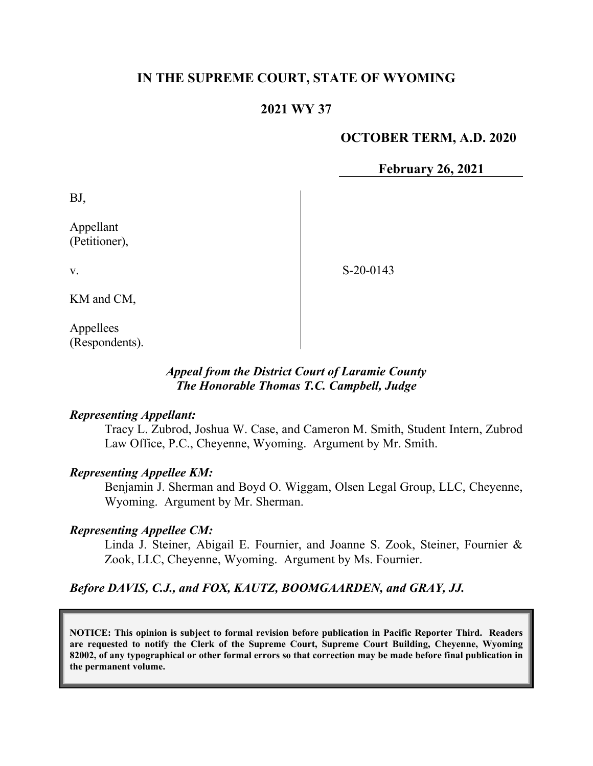# **IN THE SUPREME COURT, STATE OF WYOMING**

# **2021 WY 37**

## **OCTOBER TERM, A.D. 2020**

**February 26, 2021**

BJ,

v.

Appellant (Petitioner),

S-20-0143

KM and CM,

Appellees (Respondents).

### *Appeal from the District Court of Laramie County The Honorable Thomas T.C. Campbell, Judge*

#### *Representing Appellant:*

Tracy L. Zubrod, Joshua W. Case, and Cameron M. Smith, Student Intern, Zubrod Law Office, P.C., Cheyenne, Wyoming. Argument by Mr. Smith.

### *Representing Appellee KM:*

Benjamin J. Sherman and Boyd O. Wiggam, Olsen Legal Group, LLC, Cheyenne, Wyoming. Argument by Mr. Sherman.

#### *Representing Appellee CM:*

Linda J. Steiner, Abigail E. Fournier, and Joanne S. Zook, Steiner, Fournier & Zook, LLC, Cheyenne, Wyoming. Argument by Ms. Fournier.

### *Before DAVIS, C.J., and FOX, KAUTZ, BOOMGAARDEN, and GRAY, JJ.*

**NOTICE: This opinion is subject to formal revision before publication in Pacific Reporter Third. Readers are requested to notify the Clerk of the Supreme Court, Supreme Court Building, Cheyenne, Wyoming 82002, of any typographical or other formal errors so that correction may be made before final publication in the permanent volume.**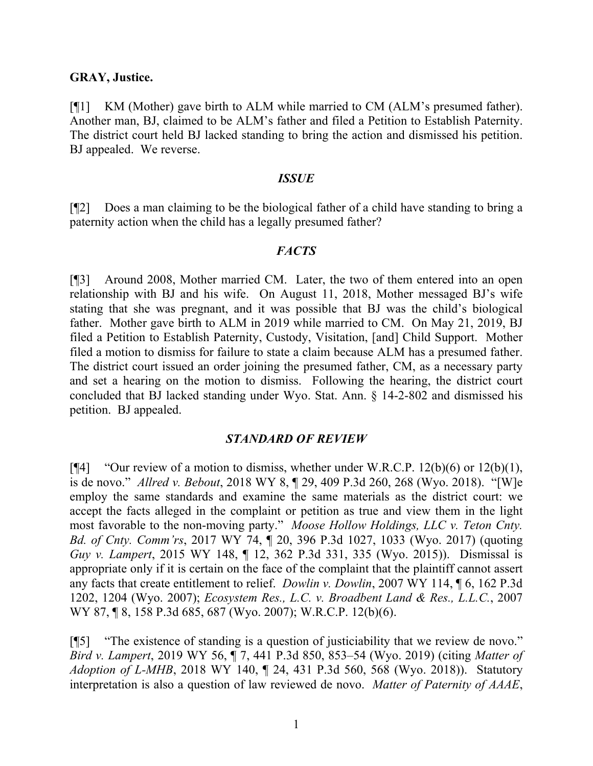#### **GRAY, Justice.**

[¶1] KM (Mother) gave birth to ALM while married to CM (ALM's presumed father). Another man, BJ, claimed to be ALM's father and filed a Petition to Establish Paternity. The district court held BJ lacked standing to bring the action and dismissed his petition. BJ appealed. We reverse.

#### *ISSUE*

[¶2] Does a man claiming to be the biological father of a child have standing to bring a paternity action when the child has a legally presumed father?

#### *FACTS*

[¶3] Around 2008, Mother married CM. Later, the two of them entered into an open relationship with BJ and his wife. On August 11, 2018, Mother messaged BJ's wife stating that she was pregnant, and it was possible that BJ was the child's biological father. Mother gave birth to ALM in 2019 while married to CM. On May 21, 2019, BJ filed a Petition to Establish Paternity, Custody, Visitation, [and] Child Support. Mother filed a motion to dismiss for failure to state a claim because ALM has a presumed father. The district court issued an order joining the presumed father, CM, as a necessary party and set a hearing on the motion to dismiss. Following the hearing, the district court concluded that BJ lacked standing under Wyo. Stat. Ann. § 14-2-802 and dismissed his petition. BJ appealed.

### *STANDARD OF REVIEW*

[ $[$ 4] "Our review of a motion to dismiss, whether under W.R.C.P. 12(b)(6) or 12(b)(1), is de novo." *Allred v. Bebout*, 2018 WY 8, ¶ 29, 409 P.3d 260, 268 (Wyo. 2018). "[W]e employ the same standards and examine the same materials as the district court: we accept the facts alleged in the complaint or petition as true and view them in the light most favorable to the non-moving party." *Moose Hollow Holdings, LLC v. Teton Cnty. Bd. of Cnty. Comm'rs*, 2017 WY 74, ¶ 20, 396 P.3d 1027, 1033 (Wyo. 2017) (quoting *Guy v. Lampert*, 2015 WY 148, ¶ 12, 362 P.3d 331, 335 (Wyo. 2015)). Dismissal is appropriate only if it is certain on the face of the complaint that the plaintiff cannot assert any facts that create entitlement to relief. *Dowlin v. Dowlin*, 2007 WY 114, ¶ 6, 162 P.3d 1202, 1204 (Wyo. 2007); *Ecosystem Res., L.C. v. Broadbent Land & Res., L.L.C.*, 2007 WY 87, ¶ 8, 158 P.3d 685, 687 (Wyo. 2007); W.R.C.P. 12(b)(6).

[¶5] "The existence of standing is a question of justiciability that we review de novo." *Bird v. Lampert*, 2019 WY 56, ¶ 7, 441 P.3d 850, 853–54 (Wyo. 2019) (citing *Matter of Adoption of L-MHB*, 2018 WY 140, ¶ 24, 431 P.3d 560, 568 (Wyo. 2018)). Statutory interpretation is also a question of law reviewed de novo. *Matter of Paternity of AAAE*,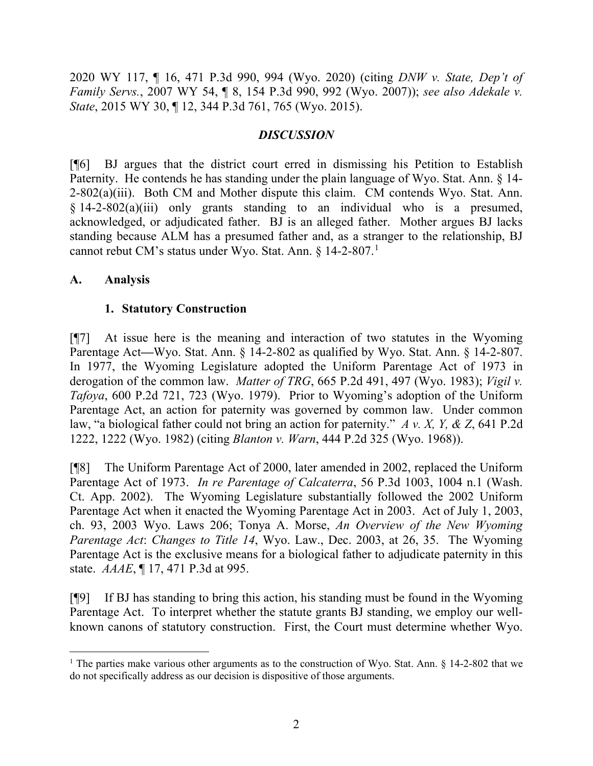2020 WY 117, ¶ 16, 471 P.3d 990, 994 (Wyo. 2020) (citing *DNW v. State, Dep't of Family Servs.*, 2007 WY 54, ¶ 8, 154 P.3d 990, 992 (Wyo. 2007)); *see also Adekale v. State*, 2015 WY 30, ¶ 12, 344 P.3d 761, 765 (Wyo. 2015).

# *DISCUSSION*

[¶6] BJ argues that the district court erred in dismissing his Petition to Establish Paternity. He contends he has standing under the plain language of Wyo. Stat. Ann. § 14- 2-802(a)(iii). Both CM and Mother dispute this claim. CM contends Wyo. Stat. Ann. § 14-2-802(a)(iii) only grants standing to an individual who is a presumed, acknowledged, or adjudicated father. BJ is an alleged father. Mother argues BJ lacks standing because ALM has a presumed father and, as a stranger to the relationship, BJ cannot rebut CM's status under Wyo. Stat. Ann. § 14-2-807.[1](#page-2-0)

### **A. Analysis**

# **1. Statutory Construction**

[¶7] At issue here is the meaning and interaction of two statutes in the Wyoming Parentage Act—Wyo. Stat. Ann. § 14-2-802 as qualified by Wyo. Stat. Ann. § 14-2-807. In 1977, the Wyoming Legislature adopted the Uniform Parentage Act of 1973 in derogation of the common law. *Matter of TRG*, 665 P.2d 491, 497 (Wyo. 1983); *Vigil v. Tafoya*, 600 P.2d 721, 723 (Wyo. 1979). Prior to Wyoming's adoption of the Uniform Parentage Act, an action for paternity was governed by common law. Under common law, "a biological father could not bring an action for paternity." *A v. X, Y, & Z*, 641 P.2d 1222, 1222 (Wyo. 1982) (citing *Blanton v. Warn*, 444 P.2d 325 (Wyo. 1968)).

[¶8] The Uniform Parentage Act of 2000, later amended in 2002, replaced the Uniform Parentage Act of 1973. *In re Parentage of Calcaterra*, 56 P.3d 1003, 1004 n.1 (Wash. Ct. App. 2002). The Wyoming Legislature substantially followed the 2002 Uniform Parentage Act when it enacted the Wyoming Parentage Act in 2003. Act of July 1, 2003, ch. 93, 2003 Wyo. Laws 206; Tonya A. Morse, *An Overview of the New Wyoming Parentage Act*: *Changes to Title 14*, Wyo. Law., Dec. 2003, at 26, 35. The Wyoming Parentage Act is the exclusive means for a biological father to adjudicate paternity in this state. *AAAE*, ¶ 17, 471 P.3d at 995.

[¶9] If BJ has standing to bring this action, his standing must be found in the Wyoming Parentage Act. To interpret whether the statute grants BJ standing, we employ our wellknown canons of statutory construction. First, the Court must determine whether Wyo.

<span id="page-2-0"></span><sup>&</sup>lt;sup>1</sup> The parties make various other arguments as to the construction of Wyo. Stat. Ann. § 14-2-802 that we do not specifically address as our decision is dispositive of those arguments.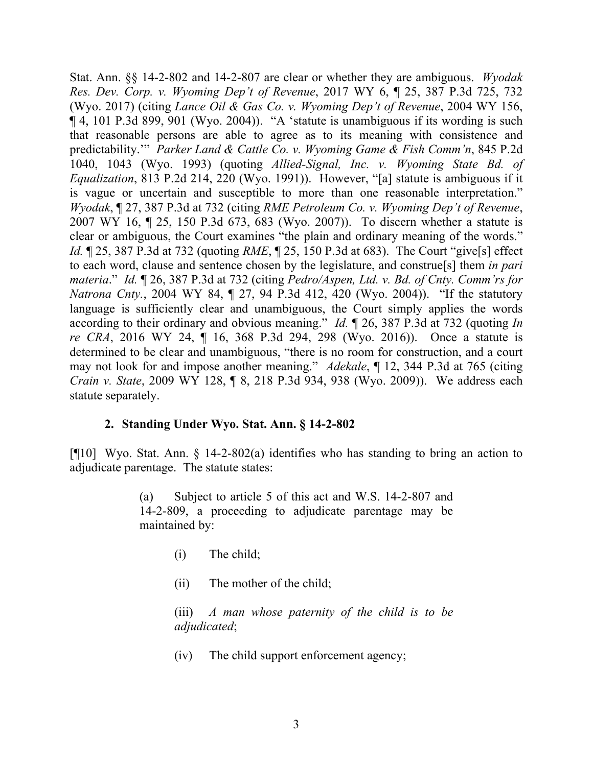Stat. Ann. §§ 14-2-802 and 14-2-807 are clear or whether they are ambiguous. *Wyodak Res. Dev. Corp. v. Wyoming Dep't of Revenue*, 2017 WY 6, ¶ 25, 387 P.3d 725, 732 (Wyo. 2017) (citing *Lance Oil & Gas Co. v. Wyoming Dep't of Revenue*, 2004 WY 156, ¶ 4, 101 P.3d 899, 901 (Wyo. 2004)). "A 'statute is unambiguous if its wording is such that reasonable persons are able to agree as to its meaning with consistence and predictability.'" *Parker Land & Cattle Co. v. Wyoming Game & Fish Comm'n*, 845 P.2d 1040, 1043 (Wyo. 1993) (quoting *Allied-Signal, Inc. v. Wyoming State Bd. of Equalization*, 813 P.2d 214, 220 (Wyo. 1991)). However, "[a] statute is ambiguous if it is vague or uncertain and susceptible to more than one reasonable interpretation." *Wyodak*, ¶ 27, 387 P.3d at 732 (citing *RME Petroleum Co. v. Wyoming Dep't of Revenue*, 2007 WY 16, ¶ 25, 150 P.3d 673, 683 (Wyo. 2007)). To discern whether a statute is clear or ambiguous, the Court examines "the plain and ordinary meaning of the words." *Id.* ¶ 25, 387 P.3d at 732 (quoting *RME*, ¶ 25, 150 P.3d at 683). The Court "give[s] effect to each word, clause and sentence chosen by the legislature, and construe[s] them *in pari materia*." *Id.* ¶ 26, 387 P.3d at 732 (citing *Pedro/Aspen, Ltd. v. Bd. of Cnty. Comm'rs for Natrona Cnty.*, 2004 WY 84, ¶ 27, 94 P.3d 412, 420 (Wyo. 2004)). "If the statutory language is sufficiently clear and unambiguous, the Court simply applies the words according to their ordinary and obvious meaning." *Id.* ¶ 26, 387 P.3d at 732 (quoting *In re CRA*, 2016 WY 24, ¶ 16, 368 P.3d 294, 298 (Wyo. 2016)). Once a statute is determined to be clear and unambiguous, "there is no room for construction, and a court may not look for and impose another meaning." *Adekale*, ¶ 12, 344 P.3d at 765 (citing *Crain v. State*, 2009 WY 128, ¶ 8, 218 P.3d 934, 938 (Wyo. 2009)). We address each statute separately.

### **2. Standing Under Wyo. Stat. Ann. § 14-2-802**

[¶10] Wyo. Stat. Ann. § 14-2-802(a) identifies who has standing to bring an action to adjudicate parentage. The statute states:

> (a) Subject to article 5 of this act and W.S. 14-2-807 and 14-2-809, a proceeding to adjudicate parentage may be maintained by:

- (i) The child;
- (ii) The mother of the child;

(iii) *A man whose paternity of the child is to be adjudicated*;

(iv) The child support enforcement agency;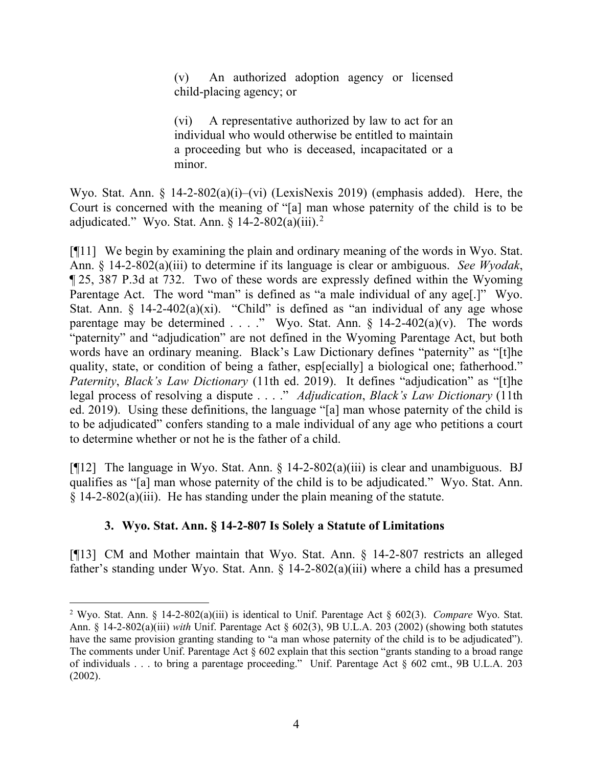(v) An authorized adoption agency or licensed child-placing agency; or

(vi) A representative authorized by law to act for an individual who would otherwise be entitled to maintain a proceeding but who is deceased, incapacitated or a minor.

Wyo. Stat. Ann. § 14-2-802(a)(i)–(vi) (LexisNexis 2019) (emphasis added). Here, the Court is concerned with the meaning of "[a] man whose paternity of the child is to be adjudicated." Wyo. Stat. Ann.  $\S$  14-[2](#page-4-0)-802(a)(iii).<sup>2</sup>

[¶11] We begin by examining the plain and ordinary meaning of the words in Wyo. Stat. Ann. § 14-2-802(a)(iii) to determine if its language is clear or ambiguous. *See Wyodak*, ¶ 25, 387 P.3d at 732. Two of these words are expressly defined within the Wyoming Parentage Act. The word "man" is defined as "a male individual of any age.]" Wyo. Stat. Ann.  $\S$  14-2-402(a)(xi). "Child" is defined as "an individual of any age whose parentage may be determined . . . ." Wyo. Stat. Ann.  $\S$  14-2-402(a)(v). The words "paternity" and "adjudication" are not defined in the Wyoming Parentage Act, but both words have an ordinary meaning. Black's Law Dictionary defines "paternity" as "[t]he quality, state, or condition of being a father, esp[ecially] a biological one; fatherhood." *Paternity*, *Black's Law Dictionary* (11th ed. 2019). It defines "adjudication" as "[t]he legal process of resolving a dispute . . . ." *Adjudication*, *Black's Law Dictionary* (11th ed. 2019). Using these definitions, the language "[a] man whose paternity of the child is to be adjudicated" confers standing to a male individual of any age who petitions a court to determine whether or not he is the father of a child.

[ $[12]$ ] The language in Wyo. Stat. Ann. § 14-2-802(a)(iii) is clear and unambiguous. BJ qualifies as "[a] man whose paternity of the child is to be adjudicated." Wyo. Stat. Ann.  $\S$  14-2-802(a)(iii). He has standing under the plain meaning of the statute.

# **3. Wyo. Stat. Ann. § 14-2-807 Is Solely a Statute of Limitations**

[¶13] CM and Mother maintain that Wyo. Stat. Ann. § 14-2-807 restricts an alleged father's standing under Wyo. Stat. Ann.  $\S$  14-2-802(a)(iii) where a child has a presumed

<span id="page-4-0"></span><sup>2</sup> Wyo. Stat. Ann. § 14-2-802(a)(iii) is identical to Unif. Parentage Act § 602(3). *Compare* Wyo. Stat. Ann. § 14-2-802(a)(iii) *with* Unif. Parentage Act § 602(3), 9B U.L.A. 203 (2002) (showing both statutes have the same provision granting standing to "a man whose paternity of the child is to be adjudicated"). The comments under Unif. Parentage Act § 602 explain that this section "grants standing to a broad range of individuals . . . to bring a parentage proceeding." Unif. Parentage Act § 602 cmt., 9B U.L.A. 203 (2002).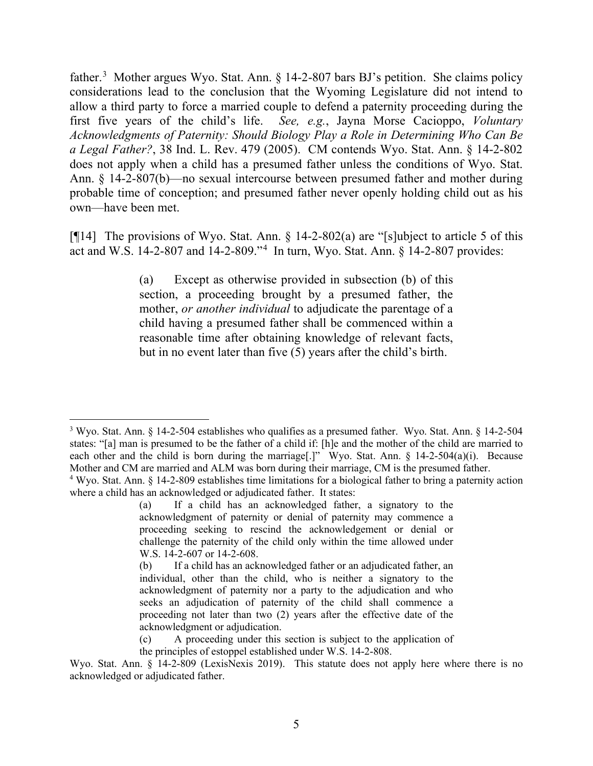father.<sup>[3](#page-5-0)</sup> Mother argues Wyo. Stat. Ann. § 14-2-807 bars BJ's petition. She claims policy considerations lead to the conclusion that the Wyoming Legislature did not intend to allow a third party to force a married couple to defend a paternity proceeding during the first five years of the child's life. *See, e.g.*, Jayna Morse Cacioppo, *Voluntary Acknowledgments of Paternity: Should Biology Play a Role in Determining Who Can Be a Legal Father?*, 38 Ind. L. Rev. 479 (2005). CM contends Wyo. Stat. Ann. § 14-2-802 does not apply when a child has a presumed father unless the conditions of Wyo. Stat. Ann. § 14-2-807(b)—no sexual intercourse between presumed father and mother during probable time of conception; and presumed father never openly holding child out as his own—have been met.

[¶14] The provisions of Wyo. Stat. Ann. § 14-2-802(a) are "[s]ubject to article 5 of this act and W.S. 14-2-807 and 14-2-809."[4](#page-5-1) In turn, Wyo. Stat. Ann. § 14-2-807 provides:

> (a) Except as otherwise provided in subsection (b) of this section, a proceeding brought by a presumed father, the mother, *or another individual* to adjudicate the parentage of a child having a presumed father shall be commenced within a reasonable time after obtaining knowledge of relevant facts, but in no event later than five (5) years after the child's birth.

<span id="page-5-0"></span><sup>3</sup> Wyo. Stat. Ann. § 14-2-504 establishes who qualifies as a presumed father. Wyo. Stat. Ann. § 14-2-504 states: "[a] man is presumed to be the father of a child if: [h]e and the mother of the child are married to each other and the child is born during the marriage<sup>[1]</sup>" Wyo. Stat. Ann. § 14-2-504(a)(i). Because Mother and CM are married and ALM was born during their marriage, CM is the presumed father.<br><sup>4</sup> Wyo. Stat. Ann. § 14-2-809 establishes time limitations for a biological father to bring a paternity action

<span id="page-5-1"></span>where a child has an acknowledged or adjudicated father. It states:

<sup>(</sup>a) If a child has an acknowledged father, a signatory to the acknowledgment of paternity or denial of paternity may commence a proceeding seeking to rescind the acknowledgement or denial or challenge the paternity of the child only within the time allowed under W.S. 14-2-607 or 14-2-608.

<sup>(</sup>b) If a child has an acknowledged father or an adjudicated father, an individual, other than the child, who is neither a signatory to the acknowledgment of paternity nor a party to the adjudication and who seeks an adjudication of paternity of the child shall commence a proceeding not later than two (2) years after the effective date of the acknowledgment or adjudication.

<sup>(</sup>c) A proceeding under this section is subject to the application of

the principles of estoppel established under W.S. 14-2-808.

Wyo. Stat. Ann. § 14-2-809 (LexisNexis 2019). This statute does not apply here where there is no acknowledged or adjudicated father.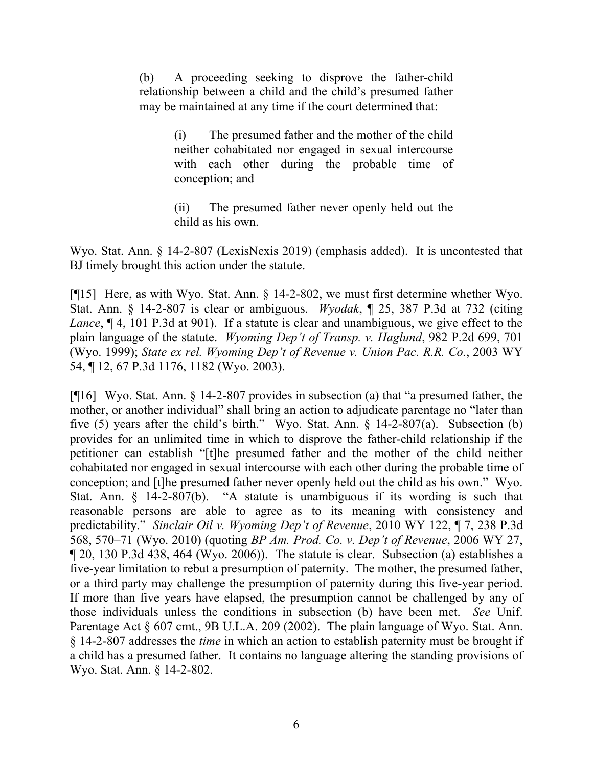(b) A proceeding seeking to disprove the father-child relationship between a child and the child's presumed father may be maintained at any time if the court determined that:

> (i) The presumed father and the mother of the child neither cohabitated nor engaged in sexual intercourse with each other during the probable time of conception; and

> (ii) The presumed father never openly held out the child as his own.

Wyo. Stat. Ann. § 14-2-807 (LexisNexis 2019) (emphasis added). It is uncontested that BJ timely brought this action under the statute.

[¶15] Here, as with Wyo. Stat. Ann. § 14-2-802, we must first determine whether Wyo. Stat. Ann. § 14-2-807 is clear or ambiguous. *Wyodak*, ¶ 25, 387 P.3d at 732 (citing *Lance*, ¶ 4, 101 P.3d at 901). If a statute is clear and unambiguous, we give effect to the plain language of the statute. *Wyoming Dep't of Transp. v. Haglund*, 982 P.2d 699, 701 (Wyo. 1999); *State ex rel. Wyoming Dep't of Revenue v. Union Pac. R.R. Co.*, 2003 WY 54, ¶ 12, 67 P.3d 1176, 1182 (Wyo. 2003).

[¶16] Wyo. Stat. Ann. § 14-2-807 provides in subsection (a) that "a presumed father, the mother, or another individual" shall bring an action to adjudicate parentage no "later than five (5) years after the child's birth." Wyo. Stat. Ann. § 14-2-807(a). Subsection (b) provides for an unlimited time in which to disprove the father-child relationship if the petitioner can establish "[t]he presumed father and the mother of the child neither cohabitated nor engaged in sexual intercourse with each other during the probable time of conception; and [t]he presumed father never openly held out the child as his own." Wyo. Stat. Ann. § 14-2-807(b). "A statute is unambiguous if its wording is such that reasonable persons are able to agree as to its meaning with consistency and predictability." *Sinclair Oil v. Wyoming Dep't of Revenue*, 2010 WY 122, ¶ 7, 238 P.3d 568, 570–71 (Wyo. 2010) (quoting *BP Am. Prod. Co. v. Dep't of Revenue*, 2006 WY 27, ¶ 20, 130 P.3d 438, 464 (Wyo. 2006)). The statute is clear. Subsection (a) establishes a five-year limitation to rebut a presumption of paternity. The mother, the presumed father, or a third party may challenge the presumption of paternity during this five-year period. If more than five years have elapsed, the presumption cannot be challenged by any of those individuals unless the conditions in subsection (b) have been met. *See* Unif. Parentage Act § 607 cmt., 9B U.L.A. 209 (2002). The plain language of Wyo. Stat. Ann. § 14-2-807 addresses the *time* in which an action to establish paternity must be brought if a child has a presumed father. It contains no language altering the standing provisions of Wyo. Stat. Ann. § 14-2-802.